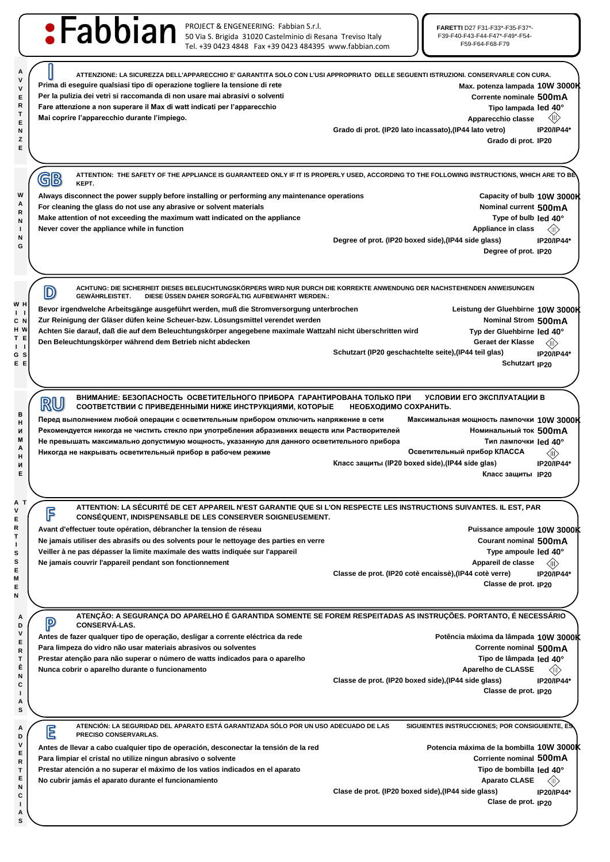**A V E R T I S S E M E N**

**W I C H T I G E**

**S**

PROJECT & ENGENEERING: Fabbian S.r.l. 50 Via S. Brigida 31020 Castelminio di Resana Treviso Italy Tel. +39 0423 4848 Fax +39 0423 484395 www.fabbian.com **FARETTI** D27 F31-F33\*-F35-F37\*- F39-F40-F43-F44-F47\*-F49\*-F54- F59-F64-F68-F79

| Α<br>V<br>V<br>E<br>R<br>т<br>E<br>N<br>z<br>Е<br>W<br>Α<br>R<br>N<br>$\mathbf{I}$ | ATTENZIONE: LA SICUREZZA DELL'APPARECCHIO E' GARANTITA SOLO CON L'USI APPROPRIATO DELLE SEGUENTI ISTRUZIONI. CONSERVARLE CON CURA.<br>Prima di eseguire qualsiasi tipo di operazione togliere la tensione di rete<br>Max. potenza lampada 10W 3000K<br>Per la pulizia dei vetri si raccomanda di non usare mai abrasivi o solventi<br>Fare attenzione a non superare il Max di watt indicati per l'apparecchio<br>Mai coprire l'apparecchio durante l'impiego.<br>Apparecchio classe<br>Grado di prot. (IP20 lato incassato), (IP44 lato vetro)<br>ATTENTION: THE SAFETY OF THE APPLIANCE IS GUARANTEED ONLY IF IT IS PROPERLY USED. ACCORDING TO THE FOLLOWING INSTRUCTIONS. WHICH ARE TO BE<br>GB<br>KEPT.<br>Always disconnect the power supply before installing or performing any maintenance operations<br>For cleaning the glass do not use any abrasive or solvent materials<br>Make attention of not exceeding the maximum watt indicated on the appliance<br>Never cover the appliance while in function<br>Appliance in class | Corrente nominale 500mA<br>Tipo lampada led 40°<br>IP20/IP44*<br>Grado di prot. IP20<br>Capacity of bulb 10W 3000K<br>Nominal current 500mA<br>Type of bulb led 40°<br>$\langle \mathbb{I} \rangle$ |       |
|------------------------------------------------------------------------------------|------------------------------------------------------------------------------------------------------------------------------------------------------------------------------------------------------------------------------------------------------------------------------------------------------------------------------------------------------------------------------------------------------------------------------------------------------------------------------------------------------------------------------------------------------------------------------------------------------------------------------------------------------------------------------------------------------------------------------------------------------------------------------------------------------------------------------------------------------------------------------------------------------------------------------------------------------------------------------------------------------------------------------------------|-----------------------------------------------------------------------------------------------------------------------------------------------------------------------------------------------------|-------|
| N<br>G                                                                             | Degree of prot. (IP20 boxed side), (IP44 side glass)<br>ACHTUNG: DIE SICHERHEIT DIESES BELEUCHTUNGSKÖRPERS WIRD NUR DURCH DIE KORREKTE ANWENDUNG DER NACHSTEHENDEN ANWEISUNGEN<br>$\mathsf{D}% _{T}$<br>GEWÄHRLEISTET.<br>DIESE ÜSSEN DAHER SORGFÄLTIG AUFBEWAHRT WERDEN.:                                                                                                                                                                                                                                                                                                                                                                                                                                                                                                                                                                                                                                                                                                                                                               | IP20/IP44*<br>Degree of prot. IP20                                                                                                                                                                  |       |
| NН<br>cм<br>нw<br>TЕ<br>$\mathbf{I}$<br>GS<br>EЕ                                   | Bevor irgendwelche Arbeitsgänge ausgeführt werden, muß die Stromversorgung unterbrochen<br>Leistung der Gluehbirne 10W 3000K<br>Zur Reinigung der Gläser düfen keine Scheuer-bzw. Lösungsmittel verendet werden<br>Achten Sie darauf, daß die auf dem Beleuchtungskörper angegebene maximale Wattzahl nicht überschritten wird<br>Den Beleuchtungskörper während dem Betrieb nicht abdecken<br>Geraet der Klasse<br>Schutzart (IP20 geschachtelte seite), (IP44 teil glas)                                                                                                                                                                                                                                                                                                                                                                                                                                                                                                                                                               | Nominal Strom 500mA<br>Typ der Gluehbirne led 40°<br>(III)<br>IP20/IP44*<br>Schutzart <sub>IP20</sub>                                                                                               |       |
| B<br>н<br>N<br>M<br>A<br>н<br>и<br>E                                               | ВНИМАНИЕ: БЕЗОПАСНОСТЬ ОСВЕТИТЕЛЬНОГО ПРИБОРА ГАРАНТИРОВАНА ТОЛЬКО ПРИ<br>УСЛОВИИ ЕГО ЭКСПЛУАТАЦИИ В<br>RU<br>СООТВЕТСТВИИ С ПРИВЕДЕННЫМИ НИЖЕ ИНСТРУКЦИЯМИ, КОТОРЫЕ<br>НЕОБХОДИМО СОХРАНИТЬ.<br>Перед выполнением любой операции с осветительным прибором отключить напряжение в сети<br>Максимальная мощность лампочки 10W 3000K<br>Рекомендуется никогда не чистить стекло при употребления абразивних веществ или Растворителей<br>Не превышать максимально допустимую мощность, указанную для данного осветительного прибора<br>Осветительный прибор КЛАССА<br>Никогда не накрывать осветительный прибор в рабочем режиме<br>Класс защиты (IP20 boxed side), (IP44 side glas)                                                                                                                                                                                                                                                                                                                                                       | Номинальный ток 500mA<br>Тип лампочки led 40°<br>⟨II〉<br>IP20/IP44*<br>Класс защиты IP20                                                                                                            |       |
| AТ<br>R<br>Ţ.<br>S<br>s<br>M                                                       | ATTENTION: LA SÉCURITÉ DE CET APPAREIL N'EST GARANTIE QUE SI L'ON RESPECTE LES INSTRUCTIONS SUIVANTES. IL EST, PAR<br>肎<br>CONSEQUENT, INDISPENSABLE DE LES CONSERVER SOIGNEUSEMENT.<br>Avant d'effectuer toute opération, débrancher la tension de réseau<br>Ne jamais utiliser des abrasifs ou des solvents pour le nettoyage des parties en verre<br>Veiller à ne pas dépasser la limite maximale des watts indiquée sur l'appareil<br>Ne jamais couvrir l'appareil pendant son fonctionnement<br>Appareil de classe<br>Classe de prot. (IP20 cotè encaissè), (IP44 cotè verre)                                                                                                                                                                                                                                                                                                                                                                                                                                                       | Puissance ampoule 10W 3000K<br>Courant nominal 500mA<br>Type ampoule led 40°<br><(II)<br>IP20/IP44*<br>Classe de prot. IP20                                                                         |       |
| Α<br>D<br>٧<br>E<br>R<br>т<br>Ê<br>N<br>C<br>-1<br>Α<br>s                          | ATENÇÃO: A SEGURANÇA DO APARELHO É GARANTIDA SOMENTE SE FOREM RESPEITADAS AS INSTRUÇÕES. PORTANTO, É NECESSÁRIO<br>P<br><b>CONSERVÁ-LAS.</b><br>Antes de fazer qualquer tipo de operação, desligar a corrente eléctrica da rede<br>Potência máxima da lâmpada 10W 3000K<br>Para limpeza do vidro não usar materiais abrasivos ou solventes<br>Prestar atenção para não superar o número de watts indicados para o aparelho<br>Aparelho de CLASSE<br>Nunca cobrir o aparelho durante o funcionamento<br>Classe de prot. (IP20 boxed side), (IP44 side glass)                                                                                                                                                                                                                                                                                                                                                                                                                                                                              | Corrente nominal 500mA<br>Tipo de lâmpada led 40°<br>IP20/IP44*<br>Classe de prot. IP20                                                                                                             | 〈III〉 |
| Α<br>D<br>٧<br>E<br>R<br>T<br>E<br>N<br>С<br>-1<br>Α<br>S                          | ATENCIÓN: LA SEGURIDAD DEL APARATO ESTÁ GARANTIZADA SÓLO POR UN USO ADECUADO DE LAS<br>SIGUIENTES INSTRUCCIONES; POR CONSIGUIENTE, ES<br>E<br>PRECISO CONSERVARLAS.<br>Potencia máxima de la bombilla 10W 3000K<br>Antes de llevar a cabo cualquier tipo de operación, desconectar la tensión de la red<br>Para limpiar el cristal no utilize ningun abrasivo o solvente<br>Prestar atención a no superar el máximo de los vatios indicados en el aparato<br>No cubrir jamás el aparato durante el funcionamiento<br><b>Aparato CLASE</b><br>Clase de prot. (IP20 boxed side), (IP44 side glass)                                                                                                                                                                                                                                                                                                                                                                                                                                         | Corriente nominal 500mA<br>Tipo de bombilla led 40°<br><b>&lt;</b> ⊪><br>IP20/IP44*<br>Clase de prot. IP20                                                                                          |       |